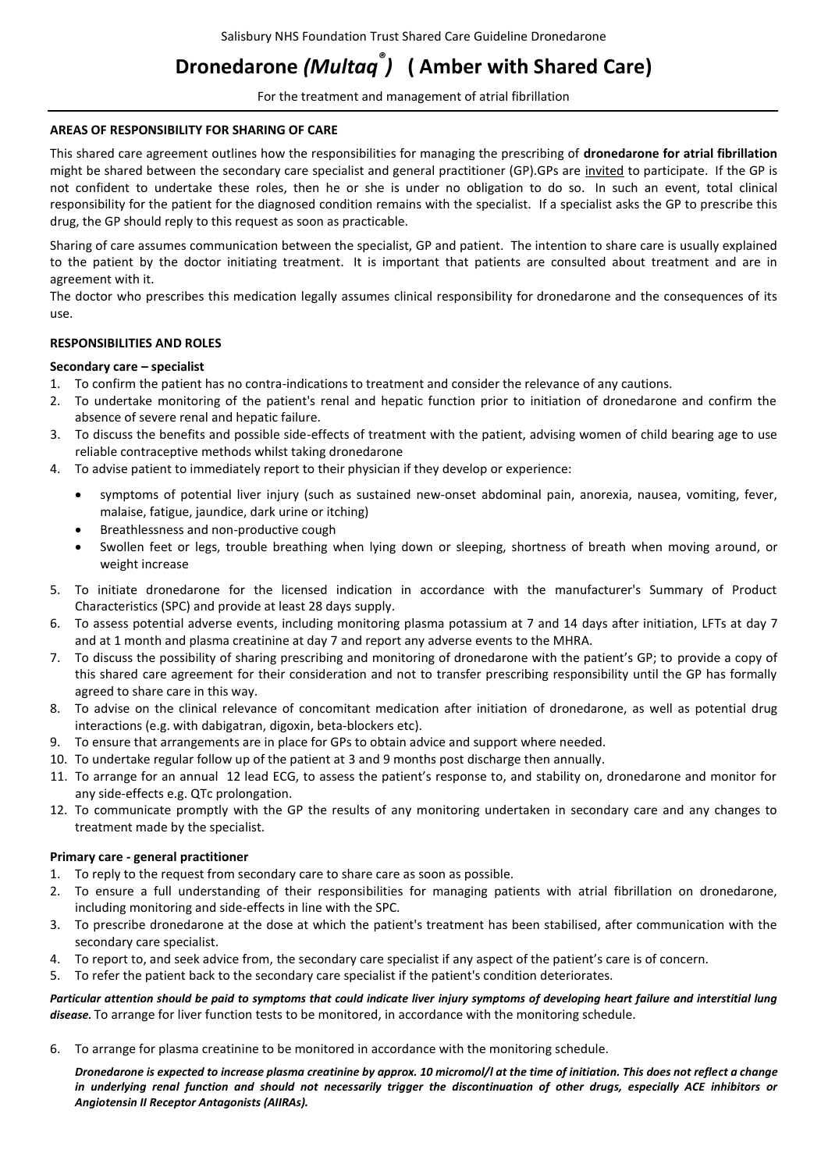# **Dronedarone** *(Multaq® )* **( Amber with Shared Care)**

For the treatment and management of atrial fibrillation

#### **AREAS OF RESPONSIBILITY FOR SHARING OF CARE**

This shared care agreement outlines how the responsibilities for managing the prescribing of **dronedarone for atrial fibrillation** might be shared between the secondary care specialist and general practitioner (GP).GPs are invited to participate. If the GP is not confident to undertake these roles, then he or she is under no obligation to do so. In such an event, total clinical responsibility for the patient for the diagnosed condition remains with the specialist. If a specialist asks the GP to prescribe this drug, the GP should reply to this request as soon as practicable.

Sharing of care assumes communication between the specialist, GP and patient. The intention to share care is usually explained to the patient by the doctor initiating treatment. It is important that patients are consulted about treatment and are in agreement with it.

The doctor who prescribes this medication legally assumes clinical responsibility for dronedarone and the consequences of its use.

## **RESPONSIBILITIES AND ROLES**

## **Secondary care – specialist**

1. To confirm the patient has no contra-indications to treatment and consider the relevance of any cautions.

- 2. To undertake monitoring of the patient's renal and hepatic function prior to initiation of dronedarone and confirm the absence of severe renal and hepatic failure.
- 3. To discuss the benefits and possible side-effects of treatment with the patient, advising women of child bearing age to use reliable contraceptive methods whilst taking dronedarone
- 4. To advise patient to immediately report to their physician if they develop or experience:
	- symptoms of potential liver injury (such as sustained new-onset abdominal pain, anorexia, nausea, vomiting, fever, malaise, fatigue, jaundice, dark urine or itching)
	- Breathlessness and non-productive cough
	- Swollen feet or legs, trouble breathing when lying down or sleeping, shortness of breath when moving around, or weight increase
- 5. To initiate dronedarone for the licensed indication in accordance with the manufacturer's Summary of Product Characteristics (SPC) and provide at least 28 days supply.
- 6. To assess potential adverse events, including monitoring plasma potassium at 7 and 14 days after initiation, LFTs at day 7 and at 1 month and plasma creatinine at day 7 and report any adverse events to the MHRA.
- 7. To discuss the possibility of sharing prescribing and monitoring of dronedarone with the patient's GP; to provide a copy of this shared care agreement for their consideration and not to transfer prescribing responsibility until the GP has formally agreed to share care in this way.
- 8. To advise on the clinical relevance of concomitant medication after initiation of dronedarone, as well as potential drug interactions (e.g. with dabigatran, digoxin, beta-blockers etc).
- 9. To ensure that arrangements are in place for GPs to obtain advice and support where needed.
- 10. To undertake regular follow up of the patient at 3 and 9 months post discharge then annually.
- 11. To arrange for an annual 12 lead ECG, to assess the patient's response to, and stability on, dronedarone and monitor for any side-effects e.g. QTc prolongation.
- 12. To communicate promptly with the GP the results of any monitoring undertaken in secondary care and any changes to treatment made by the specialist.

## **Primary care - general practitioner**

- 1. To reply to the request from secondary care to share care as soon as possible.
- 2. To ensure a full understanding of their responsibilities for managing patients with atrial fibrillation on dronedarone, including monitoring and side-effects in line with the SPC.
- 3. To prescribe dronedarone at the dose at which the patient's treatment has been stabilised, after communication with the secondary care specialist.
- 4. To report to, and seek advice from, the secondary care specialist if any aspect of the patient's care is of concern.
- 5. To refer the patient back to the secondary care specialist if the patient's condition deteriorates.

*Particular attention should be paid to symptoms that could indicate liver injury symptoms of developing heart failure and interstitial lung disease.* To arrange for liver function tests to be monitored, in accordance with the monitoring schedule.

6. To arrange for plasma creatinine to be monitored in accordance with the monitoring schedule.

*Dronedarone is expected to increase plasma creatinine by approx. 10 micromol/l at the time of initiation. This does not reflect a change in underlying renal function and should not necessarily trigger the discontinuation of other drugs, especially ACE inhibitors or Angiotensin II Receptor Antagonists (AIIRAs).*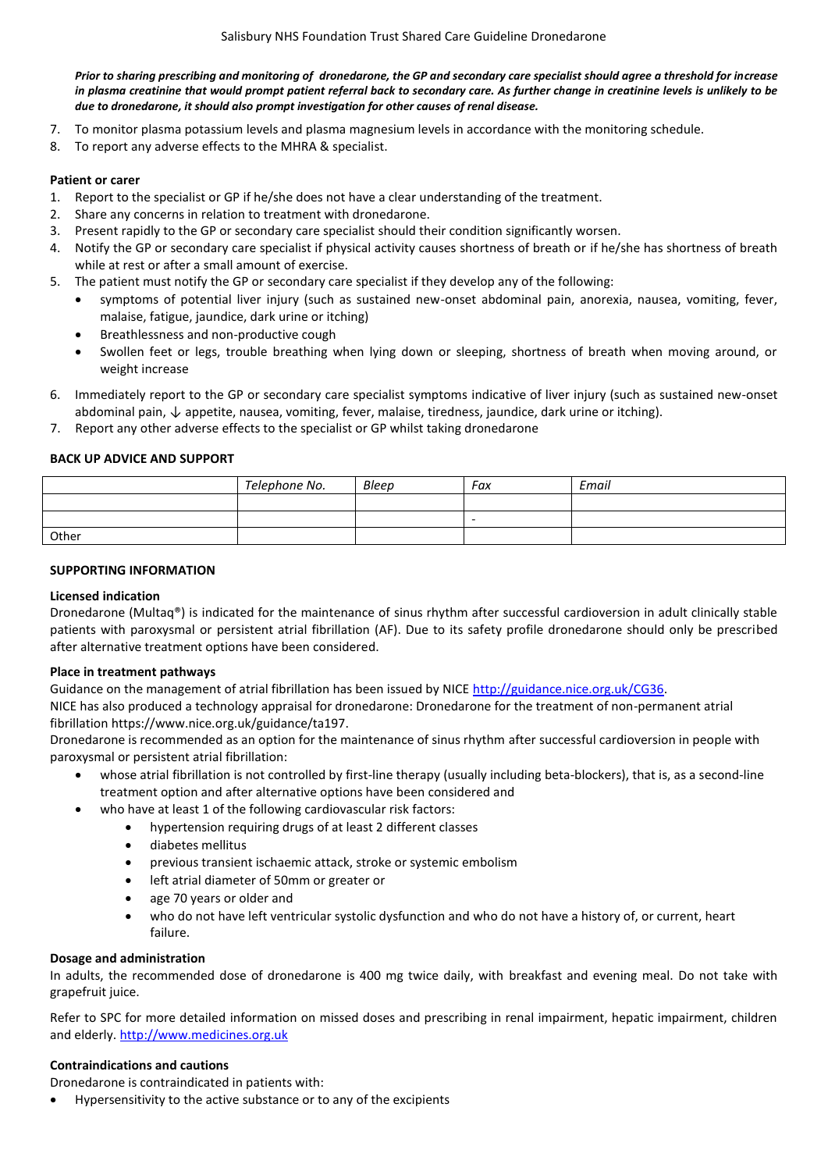*Prior to sharing prescribing and monitoring of dronedarone, the GP and secondary care specialist should agree a threshold for increase in plasma creatinine that would prompt patient referral back to secondary care. As further change in creatinine levels is unlikely to be due to dronedarone, it should also prompt investigation for other causes of renal disease.*

- 7. To monitor plasma potassium levels and plasma magnesium levels in accordance with the monitoring schedule.
- 8. To report any adverse effects to the MHRA & specialist.

## **Patient or carer**

- 1. Report to the specialist or GP if he/she does not have a clear understanding of the treatment.
- 2. Share any concerns in relation to treatment with dronedarone.
- 3. Present rapidly to the GP or secondary care specialist should their condition significantly worsen.
- 4. Notify the GP or secondary care specialist if physical activity causes shortness of breath or if he/she has shortness of breath while at rest or after a small amount of exercise.
- 5. The patient must notify the GP or secondary care specialist if they develop any of the following:
	- symptoms of potential liver injury (such as sustained new-onset abdominal pain, anorexia, nausea, vomiting, fever, malaise, fatigue, jaundice, dark urine or itching)
	- Breathlessness and non-productive cough
	- Swollen feet or legs, trouble breathing when lying down or sleeping, shortness of breath when moving around, or weight increase
- 6. Immediately report to the GP or secondary care specialist symptoms indicative of liver injury (such as sustained new-onset abdominal pain, ↓ appetite, nausea, vomiting, fever, malaise, tiredness, jaundice, dark urine or itching).
- 7. Report any other adverse effects to the specialist or GP whilst taking dronedarone

## **BACK UP ADVICE AND SUPPORT**

|       | Telephone No. | Bleep | Fax      | Email |
|-------|---------------|-------|----------|-------|
|       |               |       |          |       |
|       |               |       | <b>.</b> |       |
| Other |               |       |          |       |

## **SUPPORTING INFORMATION**

## **Licensed indication**

Dronedarone (Multaq®) is indicated for the maintenance of sinus rhythm after successful cardioversion in adult clinically stable patients with paroxysmal or persistent atrial fibrillation (AF). Due to its safety profile dronedarone should only be prescribed after alternative treatment options have been considered.

## **Place in treatment pathways**

Guidance on the management of atrial fibrillation has been issued by NICE [http://guidance.nice.org.uk/CG36.](http://guidance.nice.org.uk/CG36)

NICE has also produced a technology appraisal for dronedarone: Dronedarone for the treatment of non-permanent atrial fibrillation https://www.nice.org.uk/guidance/ta197.

Dronedarone is recommended as an option for the maintenance of sinus rhythm after successful cardioversion in people with paroxysmal or persistent atrial fibrillation:

- whose atrial fibrillation is not controlled by first-line therapy (usually including beta-blockers), that is, as a second-line treatment option and after alternative options have been considered and
- who have at least 1 of the following cardiovascular risk factors:
	- hypertension requiring drugs of at least 2 different classes
	- diabetes mellitus
	- previous transient ischaemic attack, stroke or systemic embolism
	- left atrial diameter of 50mm or greater or
	- age 70 years or older and
	- who do not have left ventricular systolic dysfunction and who do not have a history of, or current, heart failure.

## **Dosage and administration**

In adults, the recommended dose of dronedarone is 400 mg twice daily, with breakfast and evening meal. Do not take with grapefruit juice.

Refer to SPC for more detailed information on missed doses and prescribing in renal impairment, hepatic impairment, children and elderly. [http://www.medicines.org.uk](http://www.medicines.org.uk/)

## **Contraindications and cautions**

Dronedarone is contraindicated in patients with:

Hypersensitivity to the active substance or to any of the excipients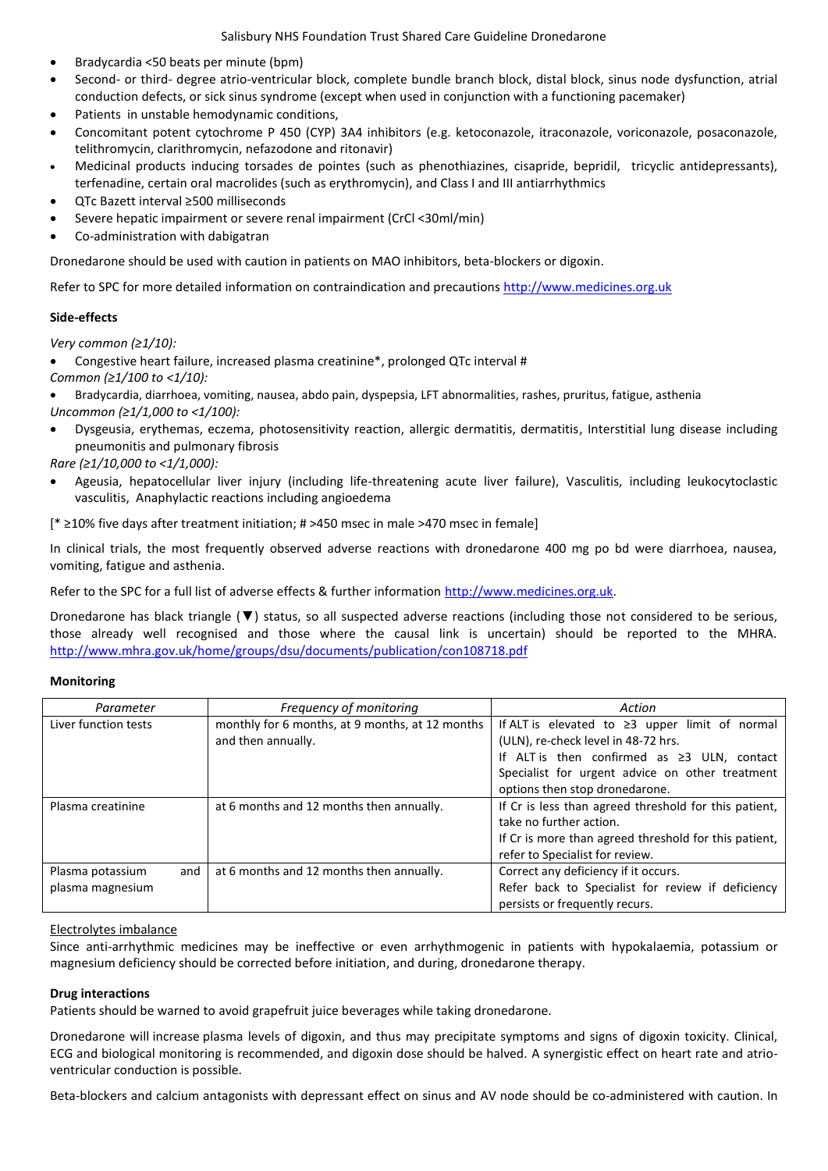- Bradycardia <50 beats per minute (bpm)
- Second- or third- degree atrio-ventricular block, complete bundle branch block, distal block, sinus node dysfunction, atrial conduction defects, or sick sinus syndrome (except when used in conjunction with a functioning pacemaker)
- Patients in unstable hemodynamic conditions,
- Concomitant potent cytochrome P 450 (CYP) 3A4 inhibitors (e.g. ketoconazole, itraconazole, voriconazole, posaconazole, telithromycin, clarithromycin, nefazodone and ritonavir)
- Medicinal products inducing torsades de pointes (such as phenothiazines, cisapride, bepridil, tricyclic antidepressants), terfenadine, certain oral macrolides (such as erythromycin), and Class I and III antiarrhythmics
- QTc Bazett interval ≥500 milliseconds
- Severe hepatic impairment or severe renal impairment (CrCl <30ml/min)
- Co-administration with dabigatran

Dronedarone should be used with caution in patients on MAO inhibitors, beta-blockers or digoxin.

Refer to SPC for more detailed information on contraindication and precautions [http://www.medicines.org.uk](http://www.medicines.org.uk/)

## **Side-effects**

*Very common (≥1/10):*

Congestive heart failure, increased plasma creatinine\*, prolonged QTc interval #

- *Common (≥1/100 to <1/10):*
- Bradycardia, diarrhoea, vomiting, nausea, abdo pain, dyspepsia, LFT abnormalities, rashes, pruritus, fatigue, asthenia *Uncommon (≥1/1,000 to <1/100):*
- Dysgeusia, erythemas, eczema, photosensitivity reaction, allergic dermatitis, dermatitis, Interstitial lung disease including pneumonitis and pulmonary fibrosis
- *Rare (≥1/10,000 to <1/1,000):*
- Ageusia, hepatocellular liver injury (including life-threatening acute liver failure), Vasculitis, including leukocytoclastic vasculitis, Anaphylactic reactions including angioedema

[\* ≥10% five days after treatment initiation; # >450 msec in male >470 msec in female]

In clinical trials, the most frequently observed adverse reactions with dronedarone 400 mg po bd were diarrhoea, nausea, vomiting, fatigue and asthenia.

Refer to the SPC for a full list of adverse effects & further information [http://www.medicines.org.uk.](http://www.medicines.org.uk/)

Dronedarone has black triangle (▼) status, so all suspected adverse reactions (including those not considered to be serious, those already well recognised and those where the causal link is uncertain) should be reported to the MHRA. <http://www.mhra.gov.uk/home/groups/dsu/documents/publication/con108718.pdf>

## **Monitoring**

| Parameter            |     | Frequency of monitoring                         | Action                                                |  |
|----------------------|-----|-------------------------------------------------|-------------------------------------------------------|--|
| Liver function tests |     | monthly for 6 months, at 9 months, at 12 months | If ALT is elevated to $\geq$ 3 upper limit of normal  |  |
|                      |     | and then annually.                              | (ULN), re-check level in 48-72 hrs.                   |  |
|                      |     |                                                 | If ALT is then confirmed as $\geq 3$ ULN, contact     |  |
|                      |     |                                                 | Specialist for urgent advice on other treatment       |  |
|                      |     |                                                 | options then stop dronedarone.                        |  |
| Plasma creatinine    |     | at 6 months and 12 months then annually.        | If Cr is less than agreed threshold for this patient, |  |
|                      |     |                                                 | take no further action.                               |  |
|                      |     |                                                 | If Cr is more than agreed threshold for this patient, |  |
|                      |     |                                                 | refer to Specialist for review.                       |  |
| Plasma potassium     | and | at 6 months and 12 months then annually.        | Correct any deficiency if it occurs.                  |  |
| plasma magnesium     |     |                                                 | Refer back to Specialist for review if deficiency     |  |
|                      |     |                                                 | persists or frequently recurs.                        |  |

## Electrolytes imbalance

Since anti-arrhythmic medicines may be ineffective or even arrhythmogenic in patients with hypokalaemia, potassium or magnesium deficiency should be corrected before initiation, and during, dronedarone therapy.

## **Drug interactions**

Patients should be warned to avoid grapefruit juice beverages while taking dronedarone.

Dronedarone will increase plasma levels of digoxin, and thus may precipitate symptoms and signs of digoxin toxicity. Clinical, ECG and biological monitoring is recommended, and digoxin dose should be halved. A synergistic effect on heart rate and atrioventricular conduction is possible.

Beta-blockers and calcium antagonists with depressant effect on sinus and AV node should be co-administered with caution. In